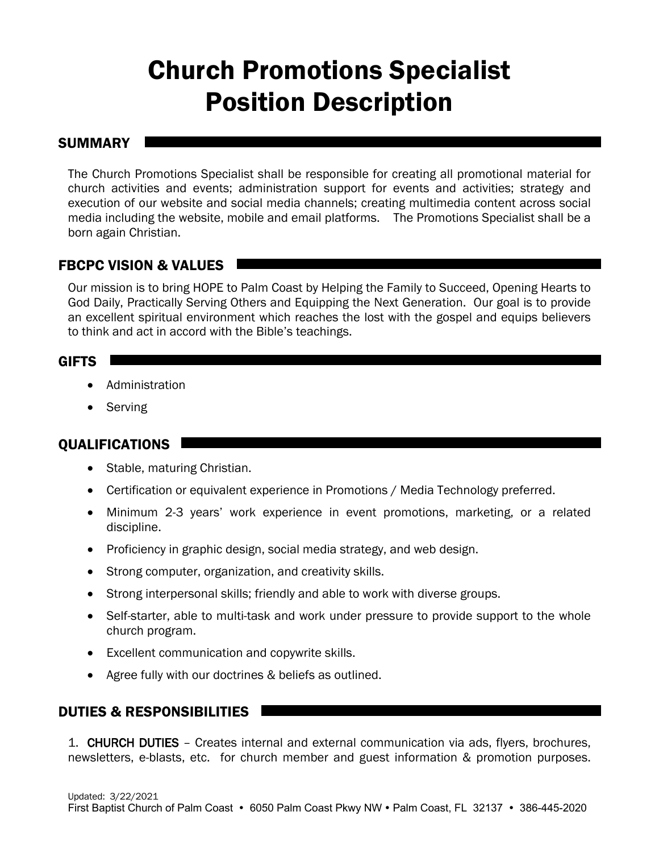# Church Promotions Specialist Position Description

#### **SUMMARY**

The Church Promotions Specialist shall be responsible for creating all promotional material for church activities and events; administration support for events and activities; strategy and execution of our website and social media channels; creating multimedia content across social media including the website, mobile and email platforms. The Promotions Specialist shall be a born again Christian.

## FBCPC VISION & VALUES

Our mission is to bring HOPE to Palm Coast by Helping the Family to Succeed, Opening Hearts to God Daily, Practically Serving Others and Equipping the Next Generation. Our goal is to provide an excellent spiritual environment which reaches the lost with the gospel and equips believers to think and act in accord with the Bible's teachings.

#### GIFTS

- Administration
- Serving

#### QUALIFICATIONS

- Stable, maturing Christian.
- Certification or equivalent experience in Promotions / Media Technology preferred.
- Minimum 2-3 years' work experience in event promotions, marketing, or a related discipline.
- Proficiency in graphic design, social media strategy, and web design.
- Strong computer, organization, and creativity skills.
- Strong interpersonal skills; friendly and able to work with diverse groups.
- Self-starter, able to multi-task and work under pressure to provide support to the whole church program.
- Excellent communication and copywrite skills.
- Agree fully with our doctrines & beliefs as outlined.

### DUTIES & RESPONSIBILITIES

1. CHURCH DUTIES – Creates internal and external communication via ads, flyers, brochures, newsletters, e-blasts, etc. for church member and guest information & promotion purposes.